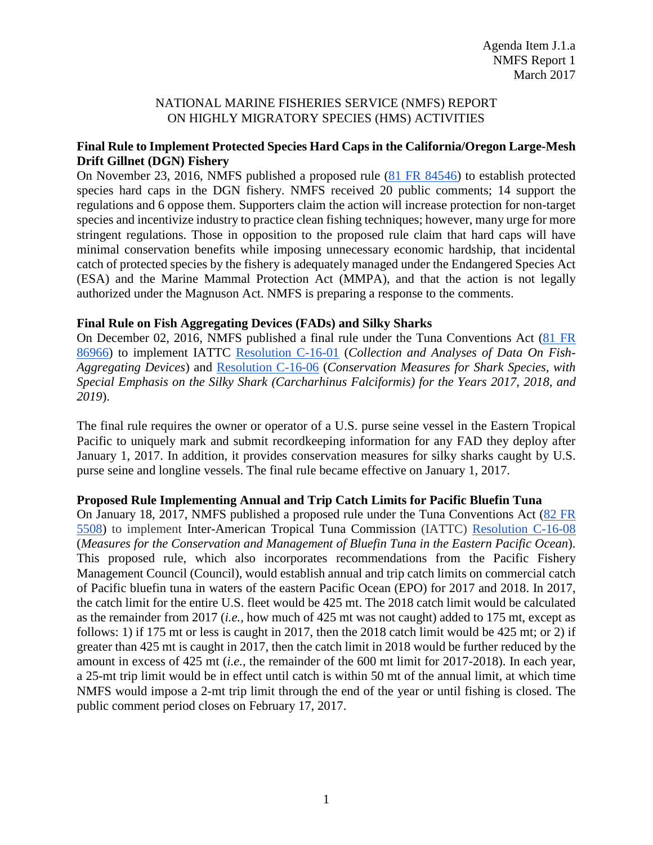## NATIONAL MARINE FISHERIES SERVICE (NMFS) REPORT ON HIGHLY MIGRATORY SPECIES (HMS) ACTIVITIES

# **Final Rule to Implement Protected Species Hard Caps in the California/Oregon Large-Mesh Drift Gillnet (DGN) Fishery**

On November 23, 2016, NMFS published a proposed rule [\(81 FR 84546\)](https://www.federalregister.gov/d/2016-28179) to establish protected species hard caps in the DGN fishery. NMFS received 20 public comments; 14 support the regulations and 6 oppose them. Supporters claim the action will increase protection for non-target species and incentivize industry to practice clean fishing techniques; however, many urge for more stringent regulations. Those in opposition to the proposed rule claim that hard caps will have minimal conservation benefits while imposing unnecessary economic hardship, that incidental catch of protected species by the fishery is adequately managed under the Endangered Species Act (ESA) and the Marine Mammal Protection Act (MMPA), and that the action is not legally authorized under the Magnuson Act. NMFS is preparing a response to the comments.

# **Final Rule on Fish Aggregating Devices (FADs) and Silky Sharks**

On December 02, 2016, NMFS published a final rule under the Tuna Conventions Act [\(81 FR](https://www.federalregister.gov/d/2016-28968)  [86966\)](https://www.federalregister.gov/d/2016-28968) to implement IATTC [Resolution C-16-01](https://www.iattc.org/PDFFiles2/Resolutions/C-16-01-FADs-Amendment-C-15-03.pdf) (*Collection and Analyses of Data On Fish-Aggregating Devices*) and [Resolution C-16-06](https://www.iattc.org/PDFFiles2/Resolutions/C-16-06-Conservation-of-sharks.pdf) (*Conservation Measures for Shark Species, with Special Emphasis on the Silky Shark (Carcharhinus Falciformis) for the Years 2017, 2018, and 2019*).

The final rule requires the owner or operator of a U.S. purse seine vessel in the Eastern Tropical Pacific to uniquely mark and submit recordkeeping information for any FAD they deploy after January 1, 2017. In addition, it provides conservation measures for silky sharks caught by U.S. purse seine and longline vessels. The final rule became effective on January 1, 2017.

### **Proposed Rule Implementing Annual and Trip Catch Limits for Pacific Bluefin Tuna**

On January 18, 2017, NMFS published a proposed rule under the Tuna Conventions Act [\(82 FR](https://www.federalregister.gov/d/2017-00623)  [5508\)](https://www.federalregister.gov/d/2017-00623) to implement Inter-American Tropical Tuna Commission (IATTC) [Resolution C-16-08](https://www.iattc.org/PDFFiles2/Resolutions/C-16-08-Conservation-and-management-of-Pacific-bluefin-tuna.pdf) (*Measures for the Conservation and Management of Bluefin Tuna in the Eastern Pacific Ocean*). This proposed rule, which also incorporates recommendations from the Pacific Fishery Management Council (Council), would establish annual and trip catch limits on commercial catch of Pacific bluefin tuna in waters of the eastern Pacific Ocean (EPO) for 2017 and 2018. In 2017, the catch limit for the entire U.S. fleet would be 425 mt. The 2018 catch limit would be calculated as the remainder from 2017 (*i.e.,* how much of 425 mt was not caught) added to 175 mt, except as follows: 1) if 175 mt or less is caught in 2017, then the 2018 catch limit would be 425 mt; or 2) if greater than 425 mt is caught in 2017, then the catch limit in 2018 would be further reduced by the amount in excess of 425 mt (*i.e.,* the remainder of the 600 mt limit for 2017-2018). In each year, a 25-mt trip limit would be in effect until catch is within 50 mt of the annual limit, at which time NMFS would impose a 2-mt trip limit through the end of the year or until fishing is closed. The public comment period closes on February 17, 2017.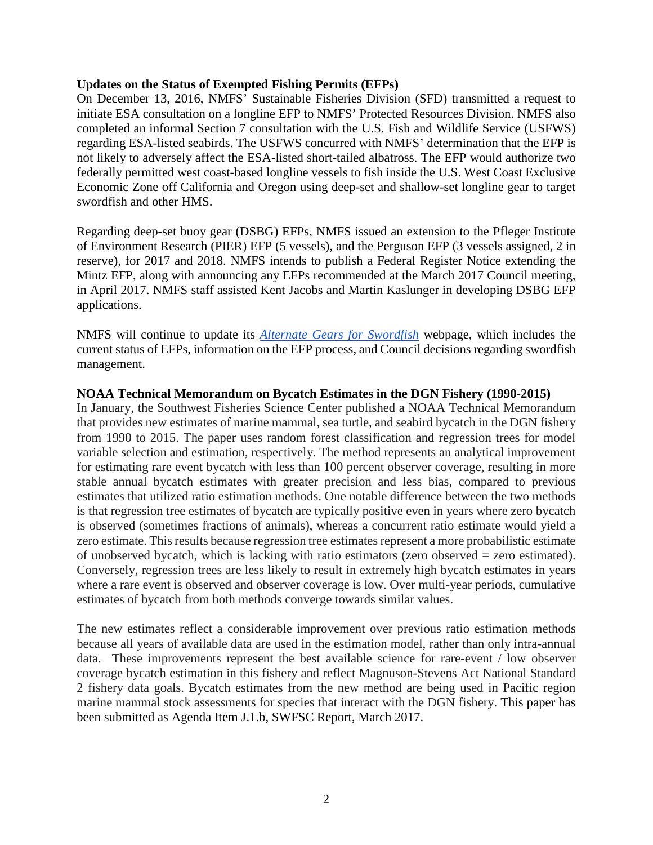#### **Updates on the Status of Exempted Fishing Permits (EFPs)**

On December 13, 2016, NMFS' Sustainable Fisheries Division (SFD) transmitted a request to initiate ESA consultation on a longline EFP to NMFS' Protected Resources Division. NMFS also completed an informal Section 7 consultation with the U.S. Fish and Wildlife Service (USFWS) regarding ESA-listed seabirds. The USFWS concurred with NMFS' determination that the EFP is not likely to adversely affect the ESA-listed short-tailed albatross. The EFP would authorize two federally permitted west coast-based longline vessels to fish inside the U.S. West Coast Exclusive Economic Zone off California and Oregon using deep-set and shallow-set longline gear to target swordfish and other HMS.

Regarding deep-set buoy gear (DSBG) EFPs, NMFS issued an extension to the Pfleger Institute of Environment Research (PIER) EFP (5 vessels), and the Perguson EFP (3 vessels assigned, 2 in reserve), for 2017 and 2018. NMFS intends to publish a Federal Register Notice extending the Mintz EFP, along with announcing any EFPs recommended at the March 2017 Council meeting, in April 2017. NMFS staff assisted Kent Jacobs and Martin Kaslunger in developing DSBG EFP applications.

NMFS will continue to update its *[Alternate Gears for Swordfish](http://www.westcoast.fisheries.noaa.gov/fisheries/migratory_species/gear_research_permits.html)* webpage, which includes the current status of EFPs, information on the EFP process, and Council decisions regarding swordfish management.

### **NOAA Technical Memorandum on Bycatch Estimates in the DGN Fishery (1990-2015)**

In January, the Southwest Fisheries Science Center published a NOAA Technical Memorandum that provides new estimates of marine mammal, sea turtle, and seabird bycatch in the DGN fishery from 1990 to 2015. The paper uses random forest classification and regression trees for model variable selection and estimation, respectively. The method represents an analytical improvement for estimating rare event bycatch with less than 100 percent observer coverage, resulting in more stable annual bycatch estimates with greater precision and less bias, compared to previous estimates that utilized ratio estimation methods. One notable difference between the two methods is that regression tree estimates of bycatch are typically positive even in years where zero bycatch is observed (sometimes fractions of animals), whereas a concurrent ratio estimate would yield a zero estimate. This results because regression tree estimates represent a more probabilistic estimate of unobserved bycatch, which is lacking with ratio estimators (zero observed = zero estimated). Conversely, regression trees are less likely to result in extremely high bycatch estimates in years where a rare event is observed and observer coverage is low. Over multi-year periods, cumulative estimates of bycatch from both methods converge towards similar values.

The new estimates reflect a considerable improvement over previous ratio estimation methods because all years of available data are used in the estimation model, rather than only intra-annual data. These improvements represent the best available science for rare-event / low observer coverage bycatch estimation in this fishery and reflect Magnuson-Stevens Act National Standard 2 fishery data goals. Bycatch estimates from the new method are being used in Pacific region marine mammal stock assessments for species that interact with the DGN fishery. This paper has been submitted as Agenda Item J.1.b, SWFSC Report, March 2017.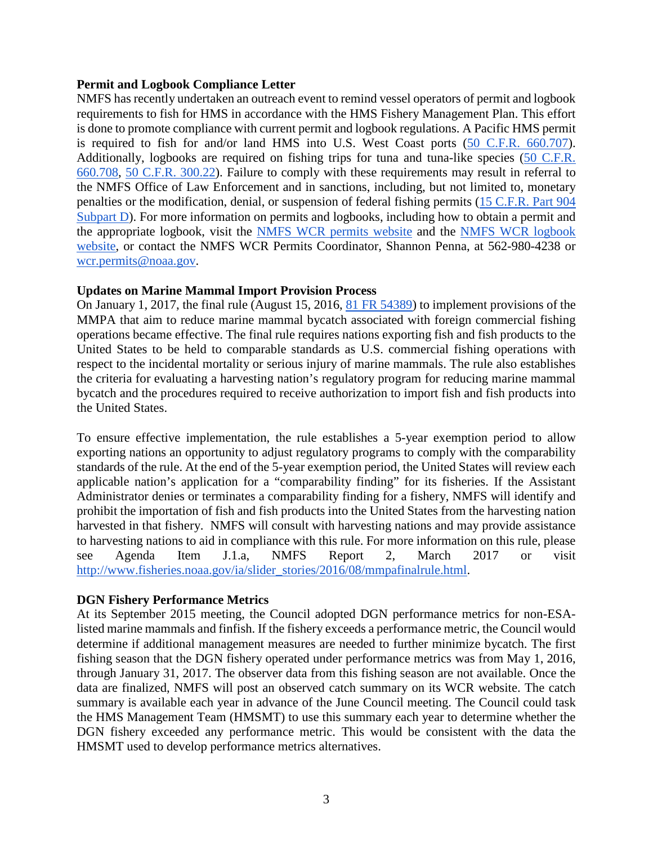#### **Permit and Logbook Compliance Letter**

NMFS has recently undertaken an outreach event to remind vessel operators of permit and logbook requirements to fish for HMS in accordance with the HMS Fishery Management Plan. This effort is done to promote compliance with current permit and logbook regulations. A Pacific HMS permit is required to fish for and/or land HMS into U.S. West Coast ports [\(50 C.F.R. 660.707\)](http://www.ecfr.gov/cgi-bin/text-idx?SID=d03fccfd9371a42f3e51ee6818d03798&mc=true&node=se50.13.660_1707&rgn=div8). Additionally, logbooks are required on fishing trips for tuna and tuna-like species [\(50 C.F.R.](http://www.ecfr.gov/cgi-bin/text-idx?SID=d03fccfd9371a42f3e51ee6818d03798&mc=true&node=se50.13.660_1708&rgn=div8)  [660.708,](http://www.ecfr.gov/cgi-bin/text-idx?SID=d03fccfd9371a42f3e51ee6818d03798&mc=true&node=se50.13.660_1708&rgn=div8) [50 C.F.R. 300.22\)](http://www.ecfr.gov/cgi-bin/text-idx?SID=d03fccfd9371a42f3e51ee6818d03798&mc=true&node=se50.11.300_122&rgn=div8). Failure to comply with these requirements may result in referral to the NMFS Office of Law Enforcement and in sanctions, including, but not limited to, monetary penalties or the modification, denial, or suspension of federal fishing permits [\(15 C.F.R. Part 904](http://www.ecfr.gov/cgi-bin/text-idx?SID=24a1e53d997bbde2342084c506042294&mc=true&node=sp15.3.904.d&rgn=div6)  [Subpart D\)](http://www.ecfr.gov/cgi-bin/text-idx?SID=24a1e53d997bbde2342084c506042294&mc=true&node=sp15.3.904.d&rgn=div6). For more information on permits and logbooks, including how to obtain a permit and the appropriate logbook, visit the [NMFS WCR permits website](http://www.westcoast.fisheries.noaa.gov/fisheries/migratory_species/pacific_hms_pemits.html) and the [NMFS WCR logbook](http://www.westcoast.fisheries.noaa.gov/fisheries/migratory_species/highly_migratory_species_logbooks.html)  [website,](http://www.westcoast.fisheries.noaa.gov/fisheries/migratory_species/highly_migratory_species_logbooks.html) or contact the NMFS WCR Permits Coordinator, Shannon Penna, at 562-980-4238 or [wcr.permits@noaa.gov.](mailto:wcr.permits@noaa.gov)

### **Updates on Marine Mammal Import Provision Process**

On January 1, 2017, the final rule (August 15, 2016, [81 FR 54389\)](https://www.federalregister.gov/d/2016-19158) to implement provisions of the MMPA that aim to reduce marine mammal bycatch associated with foreign commercial fishing operations became effective. The final rule requires nations exporting fish and fish products to the United States to be held to comparable standards as U.S. commercial fishing operations with respect to the incidental mortality or serious injury of marine mammals. The rule also establishes the criteria for evaluating a harvesting nation's regulatory program for reducing marine mammal bycatch and the procedures required to receive authorization to import fish and fish products into the United States.

To ensure effective implementation, the rule establishes a 5-year exemption period to allow exporting nations an opportunity to adjust regulatory programs to comply with the comparability standards of the rule. At the end of the 5-year exemption period, the United States will review each applicable nation's application for a "comparability finding" for its fisheries. If the Assistant Administrator denies or terminates a comparability finding for a fishery, NMFS will identify and prohibit the importation of fish and fish products into the United States from the harvesting nation harvested in that fishery. NMFS will consult with harvesting nations and may provide assistance to harvesting nations to aid in compliance with this rule. For more information on this rule, please see Agenda Item J.1.a, NMFS Report 2, March 2017 or visit [http://www.fisheries.noaa.gov/ia/slider\\_stories/2016/08/mmpafinalrule.html.](http://www.fisheries.noaa.gov/ia/slider_stories/2016/08/mmpafinalrule.html)

### **DGN Fishery Performance Metrics**

At its September 2015 meeting, the Council adopted DGN performance metrics for non-ESAlisted marine mammals and finfish. If the fishery exceeds a performance metric, the Council would determine if additional management measures are needed to further minimize bycatch. The first fishing season that the DGN fishery operated under performance metrics was from May 1, 2016, through January 31, 2017. The observer data from this fishing season are not available. Once the data are finalized, NMFS will post an observed catch summary on its WCR website. The catch summary is available each year in advance of the June Council meeting. The Council could task the HMS Management Team (HMSMT) to use this summary each year to determine whether the DGN fishery exceeded any performance metric. This would be consistent with the data the HMSMT used to develop performance metrics alternatives.